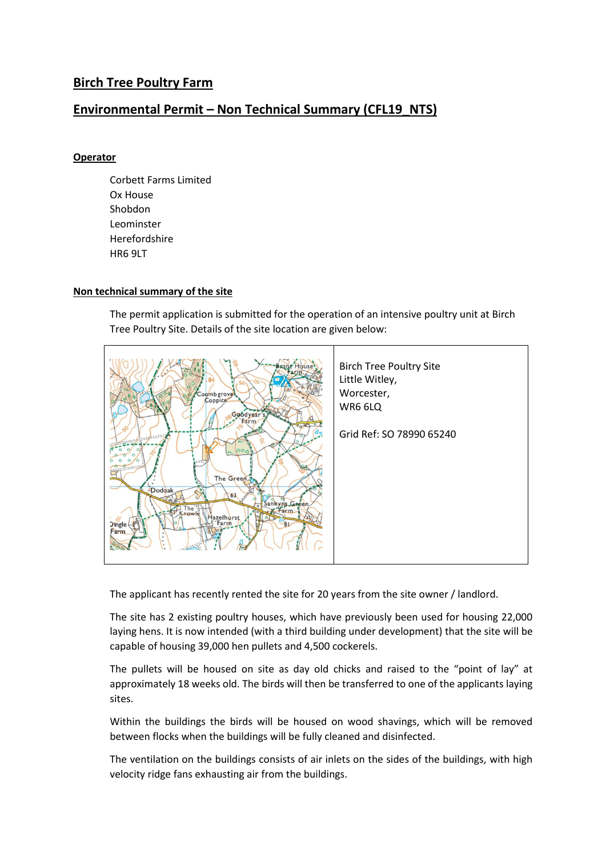## **Birch Tree Poultry Farm**

## **Environmental Permit – Non Technical Summary (CFL19\_NTS)**

## **Operator**

Corbett Farms Limited Ox House Shobdon Leominster Herefordshire HR6 9LT

## **Non technical summary of the site**

The permit application is submitted for the operation of an intensive poultry unit at Birch Tree Poultry Site. Details of the site location are given below:



The applicant has recently rented the site for 20 years from the site owner / landlord.

The site has 2 existing poultry houses, which have previously been used for housing 22,000 laying hens. It is now intended (with a third building under development) that the site will be capable of housing 39,000 hen pullets and 4,500 cockerels.

The pullets will be housed on site as day old chicks and raised to the "point of lay" at approximately 18 weeks old. The birds will then be transferred to one of the applicants laying sites.

Within the buildings the birds will be housed on wood shavings, which will be removed between flocks when the buildings will be fully cleaned and disinfected.

The ventilation on the buildings consists of air inlets on the sides of the buildings, with high velocity ridge fans exhausting air from the buildings.